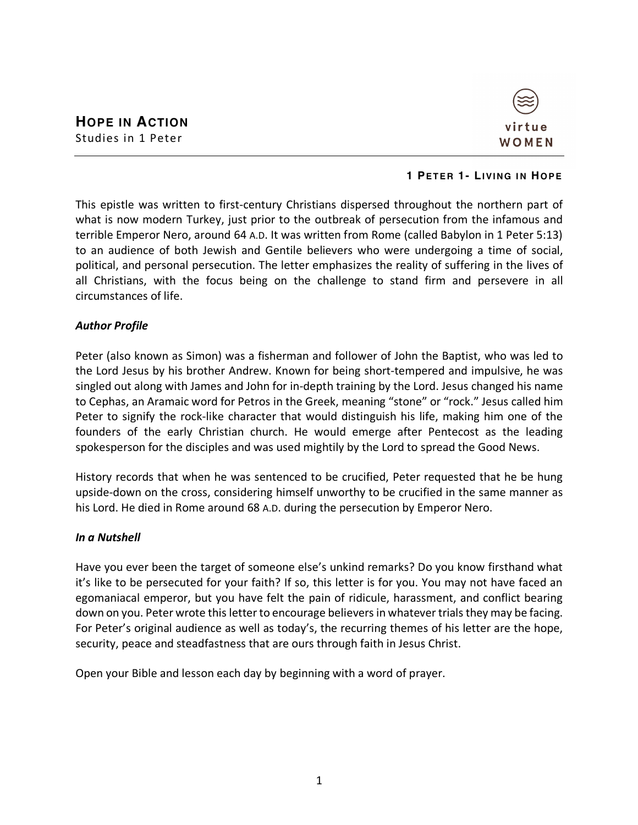

### **1 PETER 1- LIVING IN HOPE**

This epistle was written to first-century Christians dispersed throughout the northern part of what is now modern Turkey, just prior to the outbreak of persecution from the infamous and terrible Emperor Nero, around 64 A.D. It was written from Rome (called Babylon in 1 Peter 5:13) to an audience of both Jewish and Gentile believers who were undergoing a time of social, political, and personal persecution. The letter emphasizes the reality of suffering in the lives of all Christians, with the focus being on the challenge to stand firm and persevere in all circumstances of life.

## *Author Profile*

Peter (also known as Simon) was a fisherman and follower of John the Baptist, who was led to the Lord Jesus by his brother Andrew. Known for being short-tempered and impulsive, he was singled out along with James and John for in-depth training by the Lord. Jesus changed his name to Cephas, an Aramaic word for Petros in the Greek, meaning "stone" or "rock." Jesus called him Peter to signify the rock-like character that would distinguish his life, making him one of the founders of the early Christian church. He would emerge after Pentecost as the leading spokesperson for the disciples and was used mightily by the Lord to spread the Good News.

History records that when he was sentenced to be crucified, Peter requested that he be hung upside-down on the cross, considering himself unworthy to be crucified in the same manner as his Lord. He died in Rome around 68 A.D. during the persecution by Emperor Nero.

### *In a Nutshell*

Have you ever been the target of someone else's unkind remarks? Do you know firsthand what it's like to be persecuted for your faith? If so, this letter is for you. You may not have faced an egomaniacal emperor, but you have felt the pain of ridicule, harassment, and conflict bearing down on you. Peter wrote this letter to encourage believers in whatever trials they may be facing. For Peter's original audience as well as today's, the recurring themes of his letter are the hope, security, peace and steadfastness that are ours through faith in Jesus Christ.

Open your Bible and lesson each day by beginning with a word of prayer.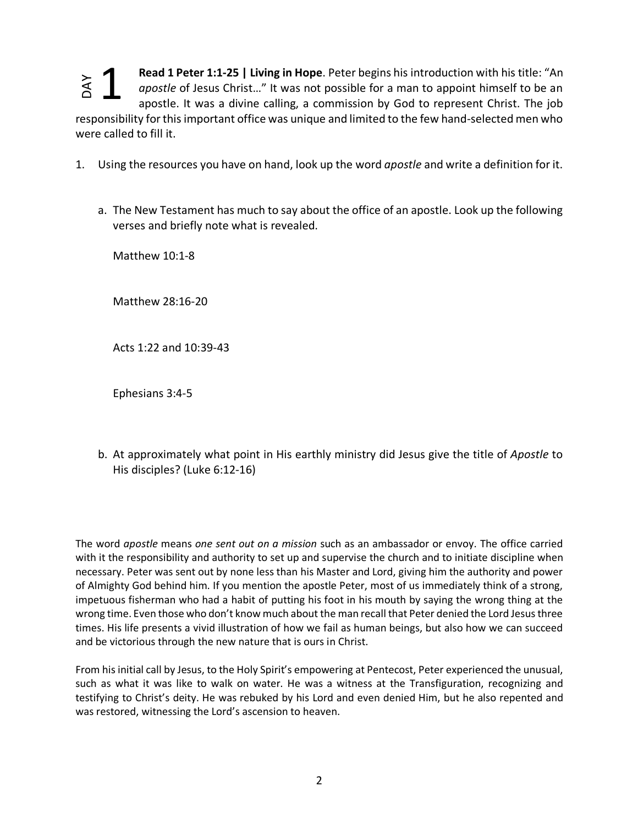**Read 1 Peter 1:1-25 | Living in Hope**. Peter begins his introduction with his title: "An *apostle* of Jesus Christ…" It was not possible for a man to appoint himself to be an apostle. It was a divine calling, a commission by God to represent Christ. The job responsibility for this important office was unique and limited to the few hand-selected men who were called to fill it. 1

- 1. Using the resources you have on hand, look up the word *apostle* and write a definition for it.
	- a. The New Testament has much to say about the office of an apostle. Look up the following verses and briefly note what is revealed.

Matthew 10:1-8

Matthew 28:16-20

Acts 1:22 and 10:39-43

Ephesians 3:4-5

b. At approximately what point in His earthly ministry did Jesus give the title of *Apostle* to His disciples? (Luke 6:12-16)

The word *apostle* means *one sent out on a mission* such as an ambassador or envoy. The office carried with it the responsibility and authority to set up and supervise the church and to initiate discipline when necessary. Peter was sent out by none less than his Master and Lord, giving him the authority and power of Almighty God behind him. If you mention the apostle Peter, most of us immediately think of a strong, impetuous fisherman who had a habit of putting his foot in his mouth by saying the wrong thing at the wrong time. Even those who don't know much about the man recall that Peter denied the Lord Jesus three times. His life presents a vivid illustration of how we fail as human beings, but also how we can succeed and be victorious through the new nature that is ours in Christ. Example the sus Christing in the control of the appear of Jesus Christing Term and the spontial proposition of the simportant office was unique and were called to fill it.<br>
1. Using the resources you have on hand, look up

From his initial call by Jesus, to the Holy Spirit's empowering at Pentecost, Peter experienced the unusual, such as what it was like to walk on water. He was a witness at the Transfiguration, recognizing and testifying to Christ's deity. He was rebuked by his Lord and even denied Him, but he also repented and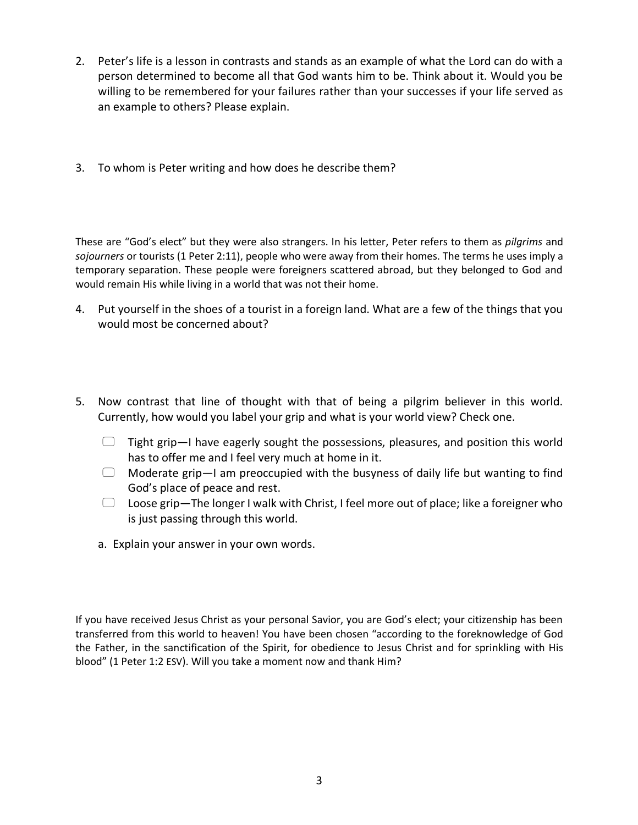- 2. Peter's life is a lesson in contrasts and stands as an example of what the Lord can do with a person determined to become all that God wants him to be. Think about it. Would you be willing to be remembered for your failures rather than your successes if your life served as an example to others? Please explain.
- 3. To whom is Peter writing and how does he describe them?

These are "God's elect" but they were also strangers. In his letter, Peter refers to them as *pilgrims* and *sojourners* or tourists (1 Peter 2:11), people who were away from their homes. The terms he uses imply a temporary separation. These people were foreigners scattered abroad, but they belonged to God and would remain His while living in a world that was not their home.

- 4. Put yourself in the shoes of a tourist in a foreign land. What are a few of the things that you would most be concerned about?
- 5. Now contrast that line of thought with that of being a pilgrim believer in this world. Currently, how would you label your grip and what is your world view? Check one.
	- $\Box$  Tight grip—I have eagerly sought the possessions, pleasures, and position this world has to offer me and I feel very much at home in it.
	- $\Box$  Moderate grip—I am preoccupied with the busyness of daily life but wanting to find God's place of peace and rest.
	- $\Box$  Loose grip—The longer I walk with Christ, I feel more out of place; like a foreigner who is just passing through this world.
	- a. Explain your answer in your own words.

If you have received Jesus Christ as your personal Savior, you are God's elect; your citizenship has been transferred from this world to heaven! You have been chosen "according to the foreknowledge of God the Father, in the sanctification of the Spirit, for obedience to Jesus Christ and for sprinkling with His blood" (1 Peter 1:2 ESV). Will you take a moment now and thank Him?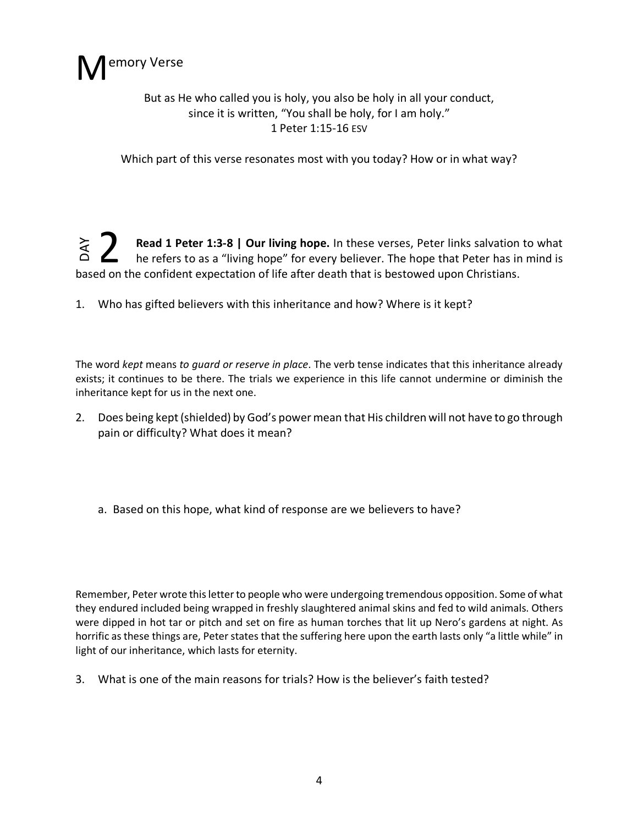

# But as He who called you is holy, you also be holy in all your conduct, since it is written, "You shall be holy, for I am holy." 1 Peter 1:15-16 ESV

Which part of this verse resonates most with you today? How or in what way?

**Read 1 Peter 1:3-8 | Our living hope.** In these verses, Peter links salvation to what he refers to as a "living hope" for every believer. The hope that Peter has in mind is based on the confident expectation of life after death that is bestowed upon Christians. DAY 2

1. Who has gifted believers with this inheritance and how? Where is it kept?

The word *kept* means *to guard or reserve in place*. The verb tense indicates that this inheritance already exists; it continues to be there. The trials we experience in this life cannot undermine or diminish the inheritance kept for us in the next one.

- 2. Does being kept (shielded) by God's power mean that His children will not have to go through pain or difficulty? What does it mean?
	- a. Based on this hope, what kind of response are we believers to have?

Remember, Peter wrote this letter to people who were undergoing tremendous opposition. Some of what they endured included being wrapped in freshly slaughtered animal skins and fed to wild animals. Others were dipped in hot tar or pitch and set on fire as human torches that lit up Nero's gardens at night. As horrific as these things are, Peter states that the suffering here upon the earth lasts only "a little while" in light of our inheritance, which lasts for eternity.

3. What is one of the main reasons for trials? How is the believer's faith tested?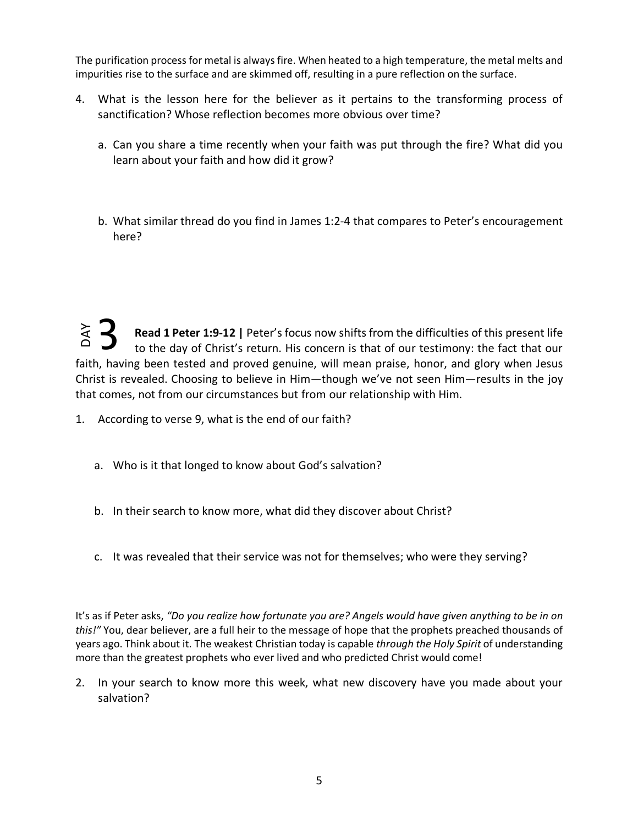The purification process for metal is always fire. When heated to a high temperature, the metal melts and impurities rise to the surface and are skimmed off, resulting in a pure reflection on the surface.

- 4. What is the lesson here for the believer as it pertains to the transforming process of sanctification? Whose reflection becomes more obvious over time?
	- a. Can you share a time recently when your faith was put through the fire? What did you learn about your faith and how did it grow?
	- b. What similar thread do you find in James 1:2-4 that compares to Peter's encouragement here?

**Read 1 Peter 1:9-12 |** Peter's focus now shifts from the difficulties of this present life to the day of Christ's return. His concern is that of our testimony: the fact that our faith, having been tested and proved genuine, will mean praise, honor, and glory when Jesus Christ is revealed. Choosing to believe in Him—though we've not seen Him—results in the joy that comes, not from our circumstances but from our relationship with Him. DAY 3

- 1. According to verse 9, what is the end of our faith?
	- a. Who is it that longed to know about God's salvation?
	- b. In their search to know more, what did they discover about Christ?
	- c. It was revealed that their service was not for themselves; who were they serving?

It's as if Peter asks, *"Do you realize how fortunate you are? Angels would have given anything to be in on this!"* You, dear believer, are a full heir to the message of hope that the prophets preached thousands of years ago. Think about it. The weakest Christian today is capable *through the Holy Spirit* of understanding more than the greatest prophets who ever lived and who predicted Christ would come!

2. In your search to know more this week, what new discovery have you made about your salvation?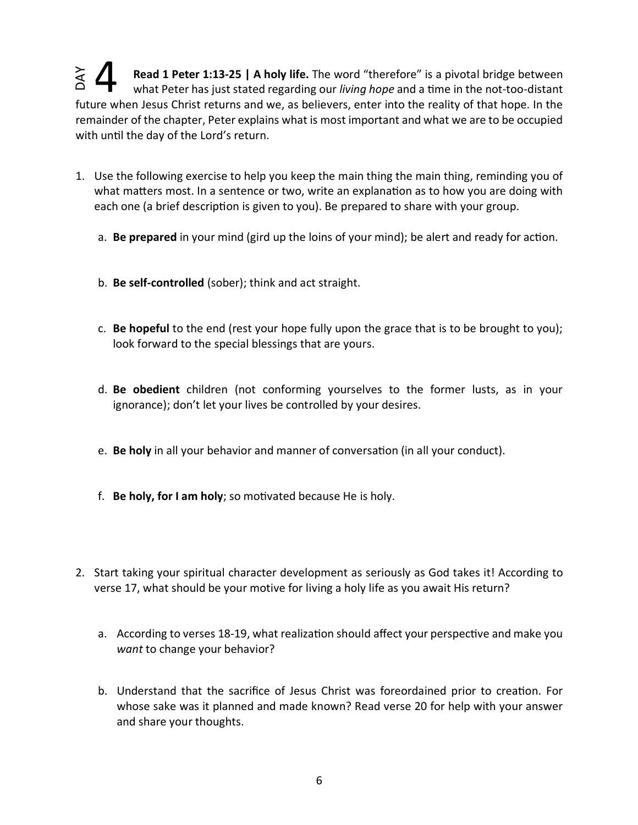**Read 1 Peter 1:13-25 | A holy life.** The word "therefore" is a pivotal bridge between what Peter has just stated regarding our *living hope* and a time in the not-too-distant future when Jesus Christ returns and we, as believers, enter into the reality of that hope. In the remainder of the chapter, Peter explains what is most important and what we are to be occupied with until the day of the Lord's return. DAY 4

- 1. Use the following exercise to help you keep the main thing the main thing, reminding you of what matters most. In a sentence or two, write an explanation as to how you are doing with each one (a brief description is given to you). Be prepared to share with your group.
	- a. **Be prepared** in your mind (gird up the loins of your mind); be alert and ready for action.
	- b. **Be self-controlled** (sober); think and act straight.
	- c. **Be hopeful** to the end (rest your hope fully upon the grace that is to be brought to you); look forward to the special blessings that are yours.
	- d. **Be obedient** children (not conforming yourselves to the former lusts, as in your ignorance); don't let your lives be controlled by your desires.
	- e. **Be holy** in all your behavior and manner of conversation (in all your conduct).
	- f. **Be holy, for I am holy**; so motivated because He is holy.
- 2. Start taking your spiritual character development as seriously as God takes it! According to verse 17, what should be your motive for living a holy life as you await His return?
	- a. According to verses 18-19, what realization should affect your perspective and make you *want* to change your behavior?
	- b. Understand that the sacrifice of Jesus Christ was foreordained prior to creation. For whose sake was it planned and made known? Read verse 20 for help with your answer and share your thoughts.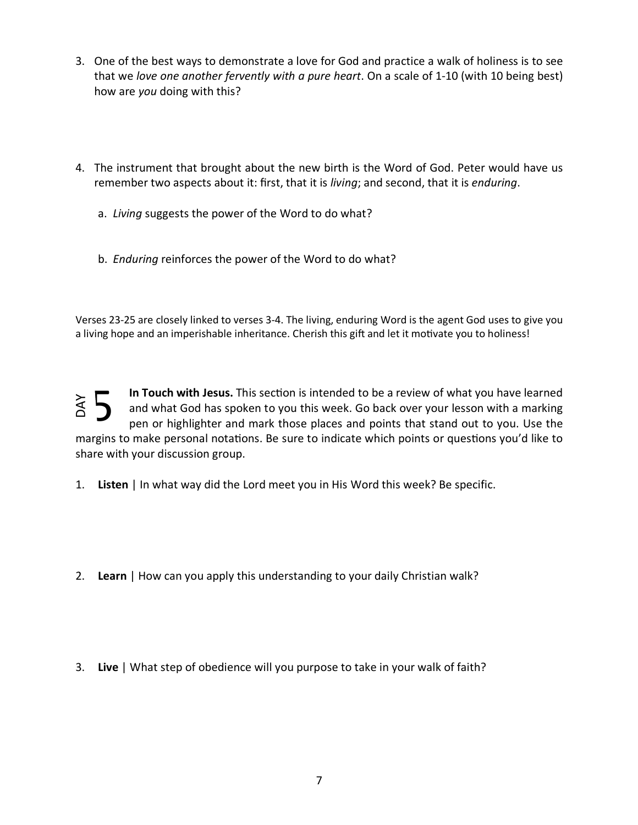- 3. One of the best ways to demonstrate a love for God and practice a walk of holiness is to see that we *love one another fervently with a pure heart*. On a scale of 1-10 (with 10 being best) how are *you* doing with this?
- 4. The instrument that brought about the new birth is the Word of God. Peter would have us remember two aspects about it: first, that it is *living*; and second, that it is *enduring*.
	- a. *Living* suggests the power of the Word to do what?
	- b. *Enduring* reinforces the power of the Word to do what?

Verses 23-25 are closely linked to verses 3-4. The living, enduring Word is the agent God uses to give you a living hope and an imperishable inheritance. Cherish this gift and let it motivate you to holiness!

In Touch with Jesus. This section is intended to be a review of what you have learned and what God has spoken to you this week. Go back over your lesson with a marking pen or highlighter and mark those places and points that stand out to you. Use the margins to make personal notations. Be sure to indicate which points or questions you'd like to share with your discussion group. 3. **Live** | What step of obedience will you purpose to take in your walk of faith?<br>3. **Live** | In what way did the Lord meet you in His Word this week? Be specificate with your discussion group.<br>3. **Listen** | In what way d 5

1. **Listen** | In what way did the Lord meet you in His Word this week? Be specific.

- 2. **Learn** | How can you apply this understanding to your daily Christian walk?
-